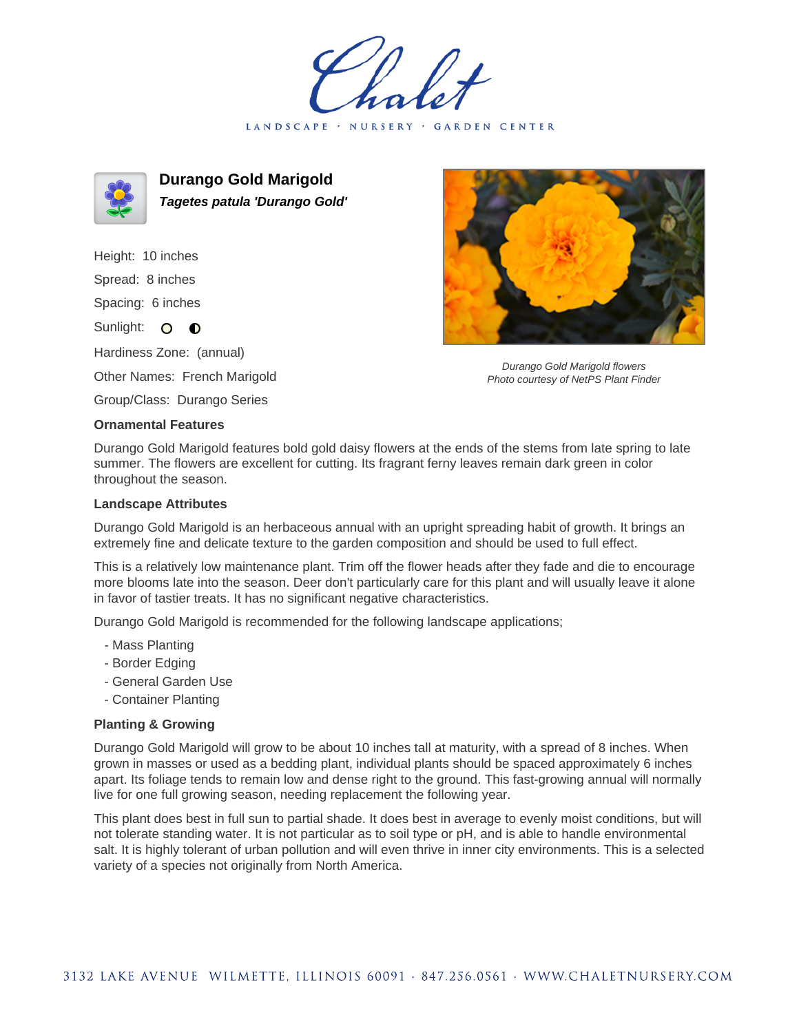LANDSCAPE · NURSERY · GARDEN CENTER



**Durango Gold Marigold Tagetes patula 'Durango Gold'**

Height: 10 inches Spread: 8 inches Spacing: 6 inches Sunlight: O **O** Hardiness Zone: (annual)

Other Names: French Marigold

Group/Class: Durango Series

## **Ornamental Features**

Durango Gold Marigold features bold gold daisy flowers at the ends of the stems from late spring to late summer. The flowers are excellent for cutting. Its fragrant ferny leaves remain dark green in color throughout the season.

## **Landscape Attributes**

Durango Gold Marigold is an herbaceous annual with an upright spreading habit of growth. It brings an extremely fine and delicate texture to the garden composition and should be used to full effect.

This is a relatively low maintenance plant. Trim off the flower heads after they fade and die to encourage more blooms late into the season. Deer don't particularly care for this plant and will usually leave it alone in favor of tastier treats. It has no significant negative characteristics.

Durango Gold Marigold is recommended for the following landscape applications;

- Mass Planting
- Border Edging
- General Garden Use
- Container Planting

## **Planting & Growing**

Durango Gold Marigold will grow to be about 10 inches tall at maturity, with a spread of 8 inches. When grown in masses or used as a bedding plant, individual plants should be spaced approximately 6 inches apart. Its foliage tends to remain low and dense right to the ground. This fast-growing annual will normally live for one full growing season, needing replacement the following year.

This plant does best in full sun to partial shade. It does best in average to evenly moist conditions, but will not tolerate standing water. It is not particular as to soil type or pH, and is able to handle environmental salt. It is highly tolerant of urban pollution and will even thrive in inner city environments. This is a selected variety of a species not originally from North America.



Durango Gold Marigold flowers Photo courtesy of NetPS Plant Finder